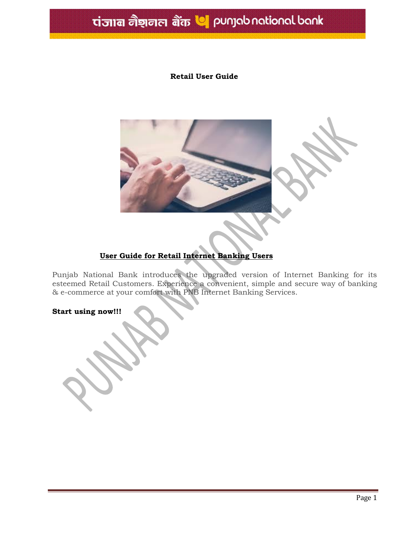# tiज्ञान नैशनल बैंक **प**ाpunjab national bank

#### **Retail User Guide**



### **User Guide for Retail Internet Banking Users**

Punjab National Bank introduces the upgraded version of Internet Banking for its esteemed Retail Customers. Experience a convenient, simple and secure way of banking & e-commerce at your comfort with PNB Internet Banking Services.

**Start using now!!!**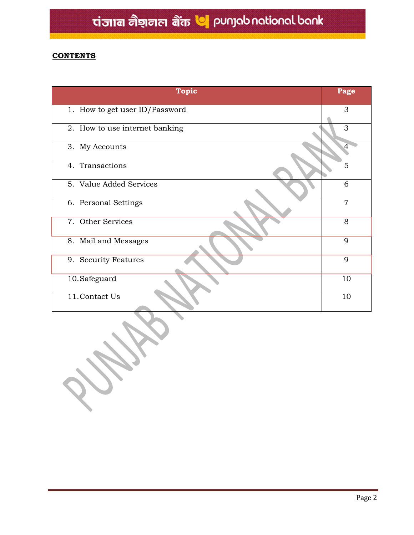### **CONTENTS**

| <b>Topic</b>                   | Page           |
|--------------------------------|----------------|
| 1. How to get user ID/Password | 3              |
| 2. How to use internet banking | 3              |
| 3. My Accounts                 | 4              |
| 4. Transactions                | 5              |
| 5. Value Added Services        | 6              |
| 6. Personal Settings           | $\overline{7}$ |
| 7. Other Services              | 8              |
| 8. Mail and Messages           | 9              |
| 9. Security Features           | 9              |
| 10. Safeguard                  | 10             |
| 11. Contact Us                 | 10             |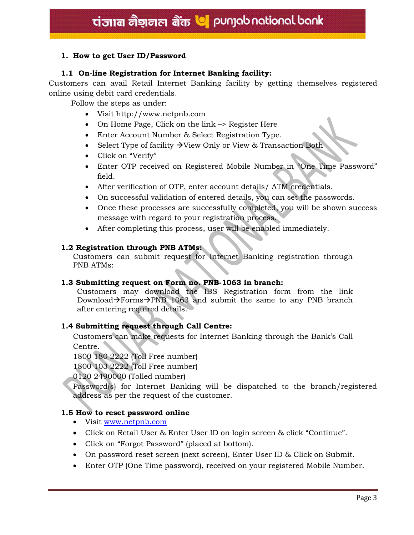#### **1. How to get User ID/Password**

#### **1.1 On-line Registration for Internet Banking facility:**

Customers can avail Retail Internet Banking facility by getting themselves registered online using debit card credentials.

Follow the steps as under:

- Visit http://www.netpnb.com
- On Home Page, Click on the link –> Register Here
- Enter Account Number & Select Registration Type.
- Select Type of facility  $\rightarrow$  View Only or View & Transaction Both
- Click on "Verify"
- Enter OTP received on Registered Mobile Number in "One Time Password" field.
- After verification of OTP, enter account details/ ATM credentials.
- On successful validation of entered details, you can set the passwords.
- Once these processes are successfully completed, you will be shown success message with regard to your registration process.
- After completing this process, user will be enabled immediately.

#### **1.2 Registration through PNB ATMs:**

Customers can submit request for Internet Banking registration through PNB ATMs:

#### **1.3 Submitting request on Form no. PNB-1063 in branch:**

Customers may download the IBS Registration form from the link Download $\rightarrow$ Forms $\rightarrow$ PNB 1063 and submit the same to any PNB branch after entering required details.

#### **1.4 Submitting request through Call Centre:**

Customers can make requests for Internet Banking through the Bank's Call Centre.

1800 180 2222 (Toll Free number)

1800 103 2222 (Toll Free number)

0120 2490000 (Tolled number)

Password(s) for Internet Banking will be dispatched to the branch/registered address as per the request of the customer.

#### **1.5 How to reset password online**

- Visit [www.netpnb.com](http://www.netpnb.com/)
- Click on Retail User & Enter User ID on login screen & click "Continue".
- Click on "Forgot Password" (placed at bottom).
- On password reset screen (next screen), Enter User ID & Click on Submit.
- Enter OTP (One Time password), received on your registered Mobile Number.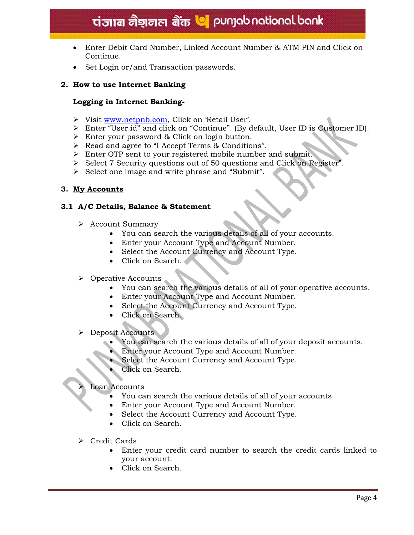## ti and the relational bank

- Enter Debit Card Number, Linked Account Number & ATM PIN and Click on Continue.
- Set Login or/and Transaction passwords.

#### **2. How to use Internet Banking**

#### **Logging in Internet Banking-**

- Visit [www.netpnb.com](http://www.netpnb.com/), Click on 'Retail User'.
- Enter "User id" and click on "Continue". (By default, User ID is Customer ID).
- Enter your password & Click on login button.
- Read and agree to "I Accept Terms & Conditions".
- Enter OTP sent to your registered mobile number and submit.
- $\triangleright$  Select 7 Security questions out of 50 questions and Click on Register".
- $\triangleright$  Select one image and write phrase and "Submit".

#### **3. My Accounts**

#### **3.1 A/C Details, Balance & Statement**

- Account Summary
	- You can search the various details of all of your accounts.
	- Enter your Account Type and Account Number.
	- Select the Account Currency and Account Type.
	- Click on Search.
- $\triangleright$  Operative Accounts
	- You can search the various details of all of your operative accounts.
	- Enter your Account Type and Account Number.
	- Select the Account Currency and Account Type.
	- Click on Search.
- Deposit Accounts
	- You can search the various details of all of your deposit accounts.
	- Enter your Account Type and Account Number.
	- Select the Account Currency and Account Type.
	- Click on Search.

#### Loan Accounts

- You can search the various details of all of your accounts.
- Enter your Account Type and Account Number.
- Select the Account Currency and Account Type.
- Click on Search.
- Credit Cards
	- Enter your credit card number to search the credit cards linked to your account.
	- Click on Search.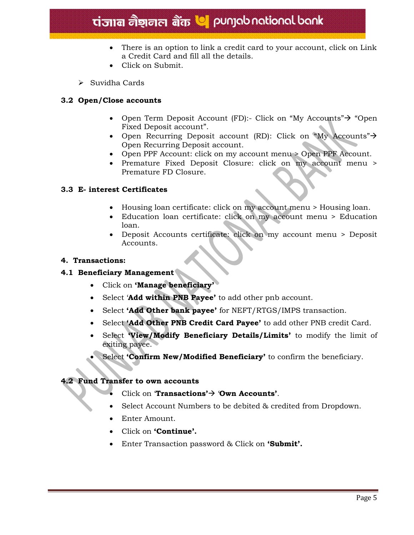# tiजान नैशनल बैंक **V** punjab national bank

- There is an option to link a credit card to your account, click on Link a Credit Card and fill all the details.
- Click on Submit.
- > Suvidha Cards

#### **3.2 Open/Close accounts**

- Open Term Deposit Account (FD):- Click on "My Accounts" $\rightarrow$  "Open Fixed Deposit account".
- Open Recurring Deposit account (RD): Click on "My Accounts" $\rightarrow$ Open Recurring Deposit account.
- Open PPF Account: click on my account menu > Open PPF Account.
- Premature Fixed Deposit Closure: click on my account menu > Premature FD Closure.

#### **3.3 E- interest Certificates**

- Housing loan certificate: click on my account menu > Housing loan.
- Education loan certificate: click on my account menu > Education loan.
- Deposit Accounts certificate: click on my account menu > Deposit Accounts.

#### **4. Transactions:**

#### **4.1 Beneficiary Management**

- Click on **'Manage beneficiary'**
- Select '**Add within PNB Payee'** to add other pnb account.
- Select **'Add Other bank payee'** for NEFT/RTGS/IMPS transaction.
- Select **'Add Other PNB Credit Card Payee'** to add other PNB credit Card.
- Select **'View/Modify Beneficiary Details/Limits'** to modify the limit of exiting payee.
- Select **'Confirm New/Modified Beneficiary'** to confirm the beneficiary.

#### **4.2 Fund Transfer to own accounts**

- Click on **Transactions'**  $\rightarrow$  **'Own Accounts'**.
- Select Account Numbers to be debited & credited from Dropdown.
- Enter Amount.
- Click on **'Continue'.**
- Enter Transaction password & Click on **'Submit'.**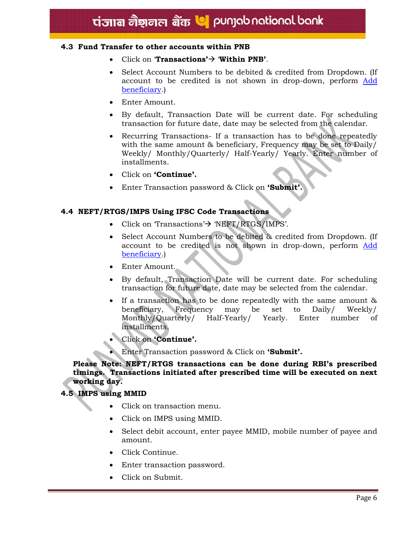#### **4.3 Fund Transfer to other accounts within PNB**

- Click on **Transactions'** $\rightarrow$  **Within PNB'**.
- Select Account Numbers to be debited & credited from Dropdown. (If account to be credited is not shown in drop-down, perform Add beneficiary.)
- Enter Amount.
- By default, Transaction Date will be current date. For scheduling transaction for future date, date may be selected from the calendar.
- Recurring Transactions If a transaction has to be done repeatedly with the same amount & beneficiary, Frequency may be set to Daily/ Weekly/ Monthly/Quarterly/ Half-Yearly/ Yearly. Enter number of installments.
- Click on **'Continue'.**
- Enter Transaction password & Click on **'Submit'.**

#### **4.4 NEFT/RTGS/IMPS Using IFSC Code Transactions**

- Click on  $Transactions \rightarrow \text{NEFT/RTGS/IMPS'}$ .
- Select Account Numbers to be debited & credited from Dropdown. (If account to be credited is not shown in drop-down, perform Add beneficiary.)
- Enter Amount.
- By default, Transaction Date will be current date. For scheduling transaction for future date, date may be selected from the calendar.
- If a transaction has to be done repeatedly with the same amount & beneficiary, Frequency may be set to Daily/ Weekly/ Monthly/Quarterly/ Half-Yearly/ Yearly. Enter number of installments.
- Click on **'Continue'.**
- Enter Transaction password & Click on **'Submit'.**

#### **Please Note: NEFT/RTGS transactions can be done during RBI's prescribed timings. Transactions initiated after prescribed time will be executed on next working day.**

#### **4.5 IMPS using MMID**

- Click on transaction menu.
- Click on IMPS using MMID.
- Select debit account, enter payee MMID, mobile number of payee and amount.
- Click Continue.
- Enter transaction password.
- Click on Submit.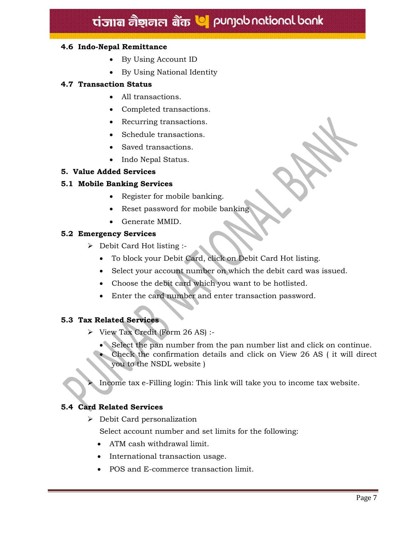## tiज्ञान नैशनल बैंक **V** punjab national bank

#### **4.6 Indo-Nepal Remittance**

- By Using Account ID
- By Using National Identity

#### **4.7 Transaction Status**

- All transactions.
- Completed transactions.
- Recurring transactions.
- Schedule transactions.
- Saved transactions.
- Indo Nepal Status.

#### **5. Value Added Services**

#### **5.1 Mobile Banking Services**

- Register for mobile banking.
- Reset password for mobile banking
- Generate MMID.

#### **5.2 Emergency Services**

- $\triangleright$  Debit Card Hot listing :-
	- To block your Debit Card, click on Debit Card Hot listing.
	- Select your account number on which the debit card was issued.
	- Choose the debit card which you want to be hotlisted.
	- Enter the card number and enter transaction password.

#### **5.3 Tax Related Services**

- View Tax Credit (Form 26 AS) :-
	- Select the pan number from the pan number list and click on continue.
	- Check the confirmation details and click on View 26 AS ( it will direct you to the NSDL website )
	- Income tax e-Filling login: This link will take you to income tax website.

#### **5.4 Card Related Services**

Debit Card personalization

Select account number and set limits for the following:

- ATM cash withdrawal limit.
- International transaction usage.
- POS and E-commerce transaction limit.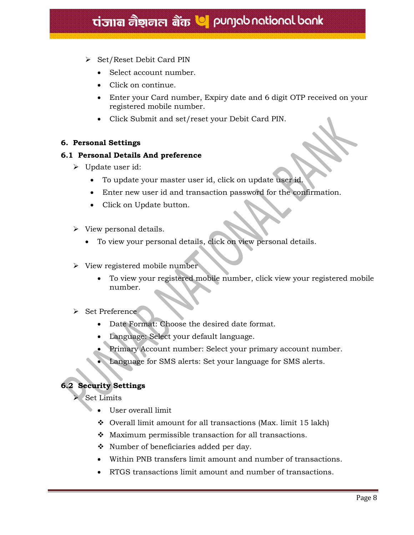- $\triangleright$  Set/Reset Debit Card PIN
	- Select account number.
	- Click on continue.
	- Enter your Card number, Expiry date and 6 digit OTP received on your registered mobile number.
	- Click Submit and set/reset your Debit Card PIN.

#### **6. Personal Settings**

#### **6.1 Personal Details And preference**

- $\triangleright$  Update user id:
	- To update your master user id, click on update user id.
	- Enter new user id and transaction password for the confirmation.
	- Click on Update button.
- $\triangleright$  View personal details.
	- To view your personal details, click on view personal details.
- $\triangleright$  View registered mobile number
	- To view your registered mobile number, click view your registered mobile number.

#### > Set Preference

- Date Format: Choose the desired date format.
- Language: Select your default language.
- Primary Account number: Select your primary account number.
- Language for SMS alerts: Set your language for SMS alerts.

#### **6.2 Security Settings**

Set Limits

- User overall limit
- $\div$  Overall limit amount for all transactions (Max. limit 15 lakh)
- $\bullet$  Maximum permissible transaction for all transactions.
- Number of beneficiaries added per day.
- Within PNB transfers limit amount and number of transactions.
- RTGS transactions limit amount and number of transactions.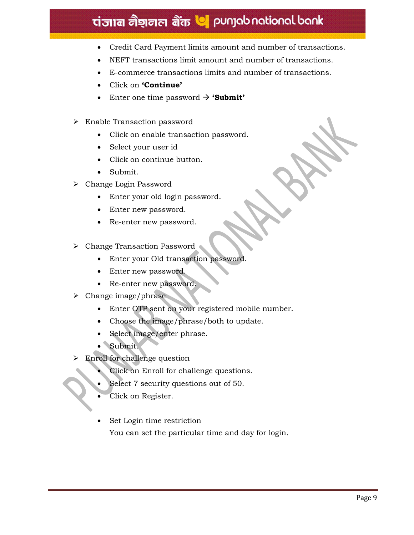# tiजाब नैशनल बैंक **७** punjab national bank

- Credit Card Payment limits amount and number of transactions.
- NEFT transactions limit amount and number of transactions.
- E-commerce transactions limits and number of transactions.
- Click on **'Continue'**
- Enter one time password  $\rightarrow$  **'Submit'**
- Enable Transaction password
	- Click on enable transaction password.
	- Select your user id
	- Click on continue button.
	- Submit.
- Change Login Password
	- Enter your old login password.
	- Enter new password.
	- Re-enter new password.
- Change Transaction Password
	- Enter your Old transaction password.
	- Enter new password.
	- Re-enter new password.
- $\triangleright$  Change image/phrase
	- Enter OTP sent on your registered mobile number.
	- Choose the image/phrase/both to update.
	- Select image/enter phrase.
	- Submit.
- Enroll for challenge question
	- Click on Enroll for challenge questions.
	- Select 7 security questions out of 50.
	- Click on Register.
	- Set Login time restriction You can set the particular time and day for login.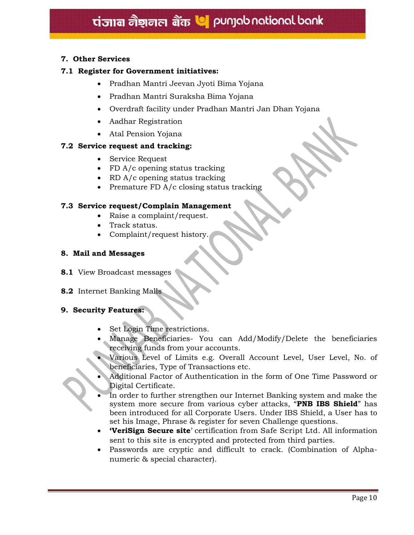#### **7. Other Services**

#### **7.1 Register for Government initiatives:**

- Pradhan Mantri Jeevan Jyoti Bima Yojana
- Pradhan Mantri Suraksha Bima Yojana
- Overdraft facility under Pradhan Mantri Jan Dhan Yojana
- Aadhar Registration
- Atal Pension Yojana

#### **7.2 Service request and tracking:**

- Service Request
- FD A/c opening status tracking
- RD A/c opening status tracking
- Premature FD  $A/c$  closing status tracking

#### **7.3 Service request/Complain Management**

- Raise a complaint/request.
- Track status.
- Complaint/request history.

#### **8. Mail and Messages**

- **8.1** View Broadcast messages
- **8.2** Internet Banking Malls

#### **9. Security Features:**

- Set Login Time restrictions.
- Manage Beneficiaries- You can Add/Modify/Delete the beneficiaries receiving funds from your accounts.
- Various Level of Limits e.g. Overall Account Level, User Level, No. of beneficiaries, Type of Transactions etc.
- Additional Factor of Authentication in the form of One Time Password or Digital Certificate.
- In order to further strengthen our Internet Banking system and make the system more secure from various cyber attacks, "**PNB IBS Shield**" has been introduced for all Corporate Users. Under IBS Shield, a User has to set his Image, Phrase & register for seven Challenge questions.
- **'VeriSign Secure site**' certification from Safe Script Ltd. All information sent to this site is encrypted and protected from third parties.
- Passwords are cryptic and difficult to crack. (Combination of Alphanumeric & special character).